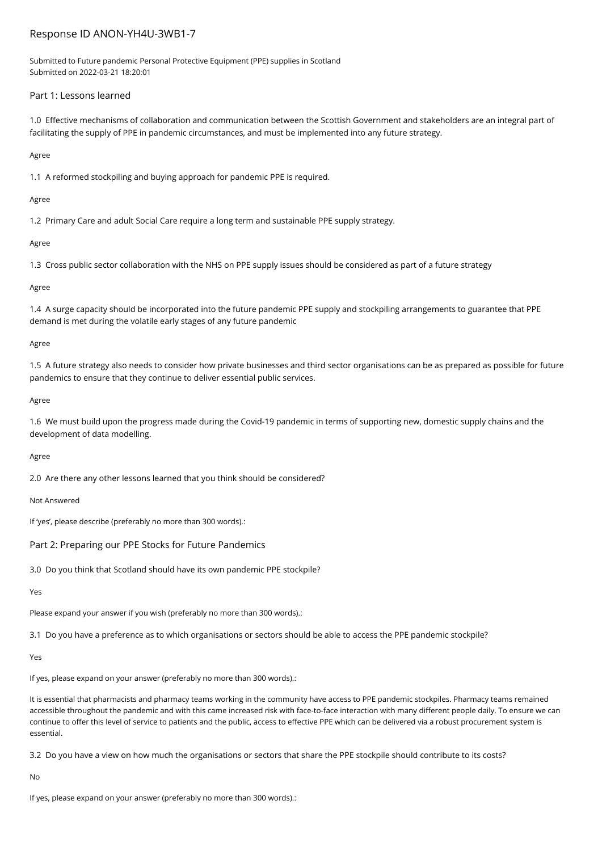# Response ID ANON-YH4U-3WB1-7

Submitted to Future pandemic Personal Protective Equipment (PPE) supplies in Scotland Submitted on 2022-03-21 18:20:01

## Part 1: Lessons learned

1.0 Effective mechanisms of collaboration and communication between the Scottish Government and stakeholders are an integral part of facilitating the supply of PPE in pandemic circumstances, and must be implemented into any future strategy.

### Agree

1.1 A reformed stockpiling and buying approach for pandemic PPE is required.

### Agree

1.2 Primary Care and adult Social Care require a long term and sustainable PPE supply strategy.

### Agree

1.3 Cross public sector collaboration with the NHS on PPE supply issues should be considered as part of a future strategy

#### Agree

1.4 A surge capacity should be incorporated into the future pandemic PPE supply and stockpiling arrangements to guarantee that PPE demand is met during the volatile early stages of any future pandemic

### Agree

1.5 A future strategy also needs to consider how private businesses and third sector organisations can be as prepared as possible for future pandemics to ensure that they continue to deliver essential public services.

#### Agree

1.6 We must build upon the progress made during the Covid-19 pandemic in terms of supporting new, domestic supply chains and the development of data modelling.

#### Agree

2.0 Are there any other lessons learned that you think should be considered?

Not Answered

If 'yes', please describe (preferably no more than 300 words).:

### Part 2: Preparing our PPE Stocks for Future Pandemics

3.0 Do you think that Scotland should have its own pandemic PPE stockpile?

### Yes

Please expand your answer if you wish (preferably no more than 300 words).:

3.1 Do you have a preference as to which organisations or sectors should be able to access the PPE pandemic stockpile?

### Yes

If yes, please expand on your answer (preferably no more than 300 words).:

It is essential that pharmacists and pharmacy teams working in the community have access to PPE pandemic stockpiles. Pharmacy teams remained accessible throughout the pandemic and with this came increased risk with face-to-face interaction with many different people daily. To ensure we can continue to offer this level of service to patients and the public, access to effective PPE which can be delivered via a robust procurement system is essential.

3.2 Do you have a view on how much the organisations or sectors that share the PPE stockpile should contribute to its costs?

No

If yes, please expand on your answer (preferably no more than 300 words).: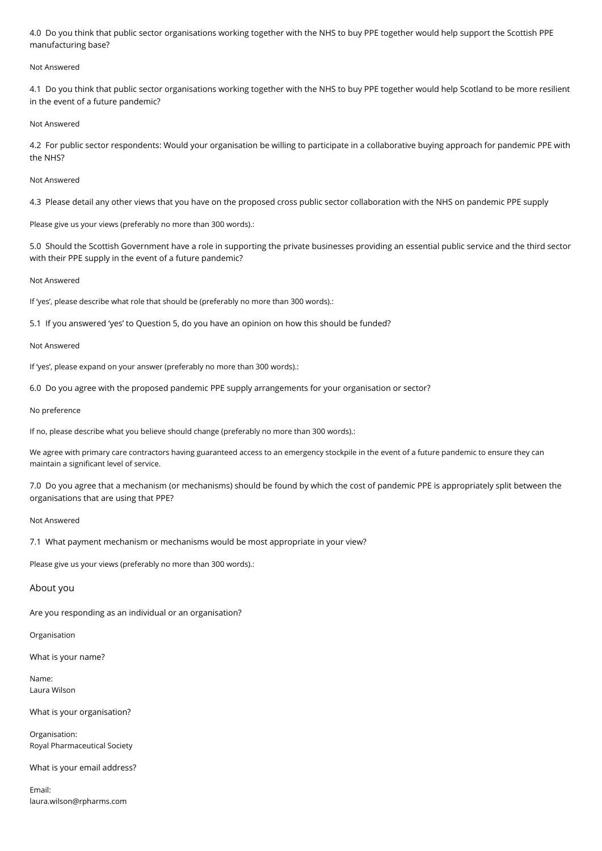4.0 Do you think that public sector organisations working together with the NHS to buy PPE together would help support the Scottish PPE manufacturing base?

#### Not Answered

4.1 Do you think that public sector organisations working together with the NHS to buy PPE together would help Scotland to be more resilient in the event of a future pandemic?

#### Not Answered

4.2 For public sector respondents: Would your organisation be willing to participate in a collaborative buying approach for pandemic PPE with the NHS?

### Not Answered

4.3 Please detail any other views that you have on the proposed cross public sector collaboration with the NHS on pandemic PPE supply

Please give us your views (preferably no more than 300 words).:

5.0 Should the Scottish Government have a role in supporting the private businesses providing an essential public service and the third sector with their PPE supply in the event of a future pandemic?

Not Answered

If 'yes', please describe what role that should be (preferably no more than 300 words).:

5.1 If you answered 'yes' to Question 5, do you have an opinion on how this should be funded?

Not Answered

If 'yes', please expand on your answer (preferably no more than 300 words).:

6.0 Do you agree with the proposed pandemic PPE supply arrangements for your organisation or sector?

No preference

If no, please describe what you believe should change (preferably no more than 300 words).:

We agree with primary care contractors having guaranteed access to an emergency stockpile in the event of a future pandemic to ensure they can maintain a significant level of service.

7.0 Do you agree that a mechanism (or mechanisms) should be found by which the cost of pandemic PPE is appropriately split between the organisations that are using that PPE?

Not Answered

7.1 What payment mechanism or mechanisms would be most appropriate in your view?

Please give us your views (preferably no more than 300 words).:

### About you

Are you responding as an individual or an organisation?

Organisation

What is your name?

Name: Laura Wilson

What is your organisation?

Organisation: Royal Pharmaceutical Society

What is your email address?

Email: laura.wilson@rpharms.com